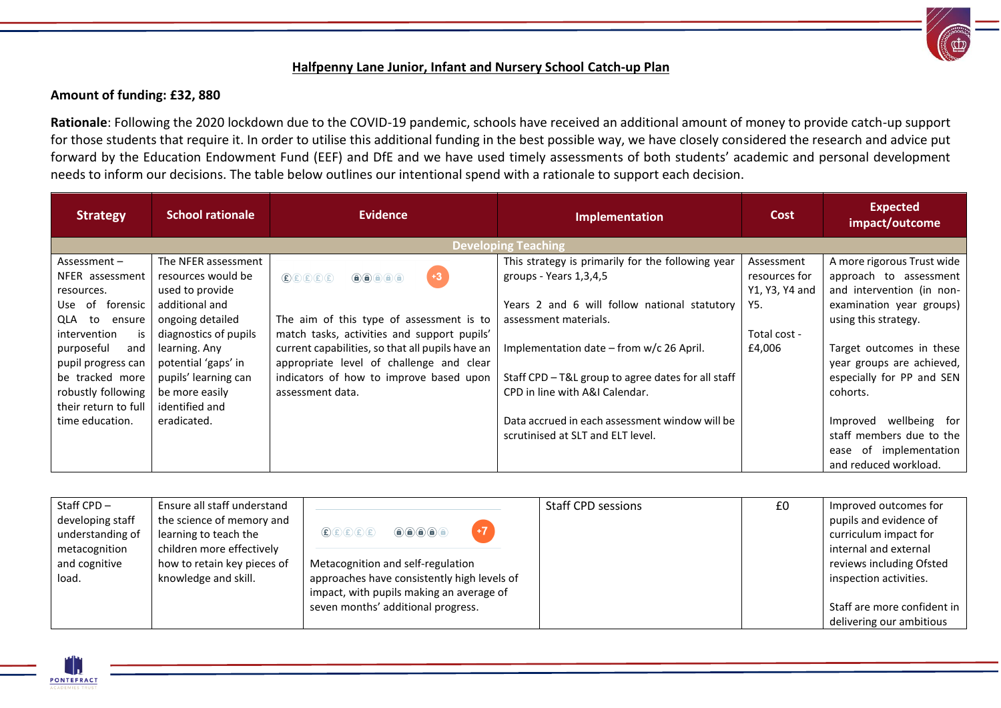## **Halfpenny Lane Junior, Infant and Nursery School Catch-up Plan**

## **Amount of funding: £32, 880**

**Rationale**: Following the 2020 lockdown due to the COVID-19 pandemic, schools have received an additional amount of money to provide catch-up support for those students that require it. In order to utilise this additional funding in the best possible way, we have closely considered the research and advice put forward by the Education Endowment Fund (EEF) and DfE and we have used timely assessments of both students' academic and personal development needs to inform our decisions. The table below outlines our intentional spend with a rationale to support each decision.

| <b>Strategy</b>       | <b>School rationale</b> | <b>Evidence</b>                                                                                                                                                                                                    | Implementation                                     | <b>Cost</b>    | <b>Expected</b><br>impact/outcome |
|-----------------------|-------------------------|--------------------------------------------------------------------------------------------------------------------------------------------------------------------------------------------------------------------|----------------------------------------------------|----------------|-----------------------------------|
|                       |                         |                                                                                                                                                                                                                    | <b>Developing Teaching</b>                         |                |                                   |
| Assessment $-$        | The NFER assessment     |                                                                                                                                                                                                                    | This strategy is primarily for the following year  | Assessment     | A more rigorous Trust wide        |
| NFER assessment       | resources would be      | $+3$<br>E(E)E(E)<br>$\begin{array}{c} \textcircled{\textcolor{blue}{\bullet}} \textcircled{\textcolor{blue}{\bullet}} \textcircled{\textcolor{blue}{\bullet}} \textcircled{\textcolor{blue}{\bullet}} \end{array}$ | groups - Years 1,3,4,5                             | resources for  | approach to assessment            |
| resources.            | used to provide         |                                                                                                                                                                                                                    |                                                    | Y1, Y3, Y4 and | and intervention (in non-         |
| forensic<br>Use<br>of | additional and          |                                                                                                                                                                                                                    | Years 2 and 6 will follow national statutory       | Y5.            | examination year groups)          |
| QLA<br>to<br>ensure   | ongoing detailed        | The aim of this type of assessment is to                                                                                                                                                                           | assessment materials.                              |                | using this strategy.              |
| intervention<br>is    | diagnostics of pupils   | match tasks, activities and support pupils'                                                                                                                                                                        |                                                    | Total cost -   |                                   |
| purposeful<br>and     | learning. Any           | current capabilities, so that all pupils have an                                                                                                                                                                   | Implementation date $-$ from w/c 26 April.         | £4,006         | Target outcomes in these          |
| pupil progress can    | potential 'gaps' in     | appropriate level of challenge and clear                                                                                                                                                                           |                                                    |                | year groups are achieved,         |
| be tracked more       | pupils' learning can    | indicators of how to improve based upon                                                                                                                                                                            | Staff CPD - T&L group to agree dates for all staff |                | especially for PP and SEN         |
| robustly following    | be more easily          | assessment data.                                                                                                                                                                                                   | CPD in line with A&I Calendar.                     |                | cohorts.                          |
| their return to full  | identified and          |                                                                                                                                                                                                                    |                                                    |                |                                   |
| time education.       | eradicated.             |                                                                                                                                                                                                                    | Data accrued in each assessment window will be     |                | wellbeing for<br>Improved         |
|                       |                         |                                                                                                                                                                                                                    | scrutinised at SLT and ELT level.                  |                | staff members due to the          |
|                       |                         |                                                                                                                                                                                                                    |                                                    |                | of implementation<br>ease         |
|                       |                         |                                                                                                                                                                                                                    |                                                    |                | and reduced workload.             |

| Staff $CPD -$    | Ensure all staff understand |                                                                                                                                                                                                                                                                                                                                                                                                                                                                                                                                           | <b>Staff CPD sessions</b> | £0 | Improved outcomes for       |
|------------------|-----------------------------|-------------------------------------------------------------------------------------------------------------------------------------------------------------------------------------------------------------------------------------------------------------------------------------------------------------------------------------------------------------------------------------------------------------------------------------------------------------------------------------------------------------------------------------------|---------------------------|----|-----------------------------|
| developing staff | the science of memory and   |                                                                                                                                                                                                                                                                                                                                                                                                                                                                                                                                           |                           |    | pupils and evidence of      |
| understanding of | learning to teach the       | $\begin{tabular}{ll} \multicolumn{4}{c}{\textbf{\textcircled{\tiny{f}}}} & \multicolumn{4}{c}{\textbf{\textcircled{\tiny{f}}}} & \multicolumn{4}{c}{\textbf{\textcircled{\tiny{f}}}} & \multicolumn{4}{c}{\textbf{\textcircled{\tiny{f}}}} & \multicolumn{4}{c}{\textbf{\textcircled{\tiny{f}}}} & \multicolumn{4}{c}{\textbf{\textcircled{\tiny{f}}}} & \multicolumn{4}{c}{\textbf{\textcircled{\tiny{f}}}} & \multicolumn{4}{c}{\textbf{\textcircled{\tiny{f}}}} & \multicolumn{4}{c}{\textbf{\textcircled{\tiny{f}}}} & \multicolumn{$ |                           |    | curriculum impact for       |
| metacognition    | children more effectively   |                                                                                                                                                                                                                                                                                                                                                                                                                                                                                                                                           |                           |    | internal and external       |
| and cognitive    | how to retain key pieces of | Metacognition and self-regulation                                                                                                                                                                                                                                                                                                                                                                                                                                                                                                         |                           |    | reviews including Ofsted    |
| load.            | knowledge and skill.        | approaches have consistently high levels of                                                                                                                                                                                                                                                                                                                                                                                                                                                                                               |                           |    | inspection activities.      |
|                  |                             | impact, with pupils making an average of                                                                                                                                                                                                                                                                                                                                                                                                                                                                                                  |                           |    |                             |
|                  |                             | seven months' additional progress.                                                                                                                                                                                                                                                                                                                                                                                                                                                                                                        |                           |    | Staff are more confident in |
|                  |                             |                                                                                                                                                                                                                                                                                                                                                                                                                                                                                                                                           |                           |    | delivering our ambitious    |

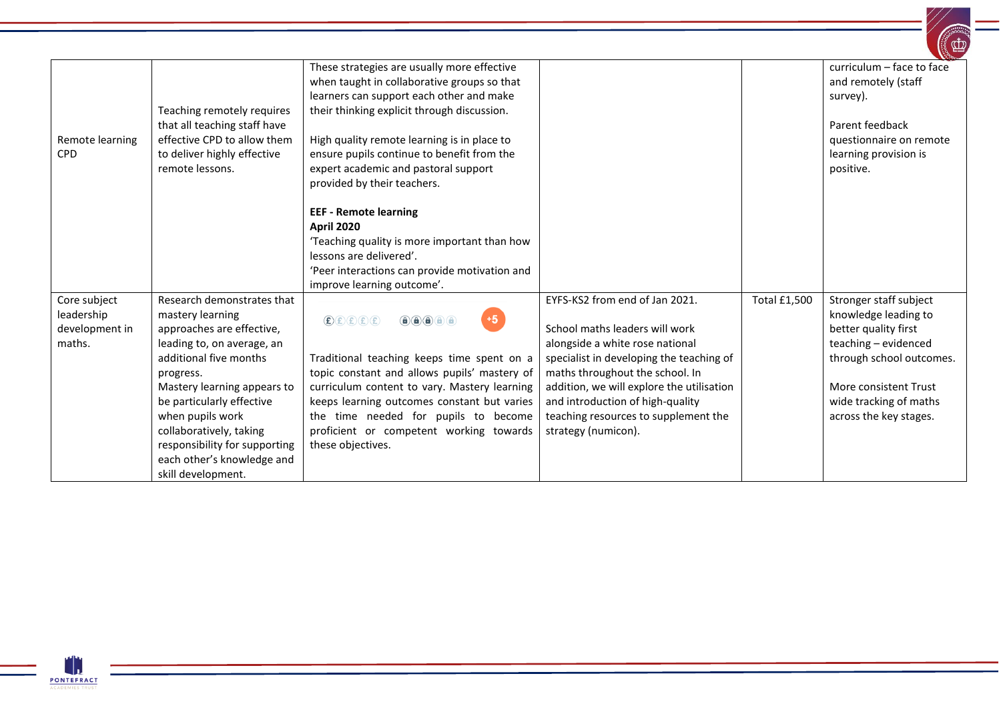| Remote learning<br><b>CPD</b>                          | Teaching remotely requires<br>that all teaching staff have<br>effective CPD to allow them<br>to deliver highly effective<br>remote lessons.                                                                                                                                                                                                      | These strategies are usually more effective<br>when taught in collaborative groups so that<br>learners can support each other and make<br>their thinking explicit through discussion.<br>High quality remote learning is in place to<br>ensure pupils continue to benefit from the<br>expert academic and pastoral support<br>provided by their teachers. |                                                                                                                                                                                                                                                                                                                                    |                     | curriculum - face to face<br>and remotely (staff<br>survey).<br>Parent feedback<br>questionnaire on remote<br>learning provision is<br>positive.                                                        |
|--------------------------------------------------------|--------------------------------------------------------------------------------------------------------------------------------------------------------------------------------------------------------------------------------------------------------------------------------------------------------------------------------------------------|-----------------------------------------------------------------------------------------------------------------------------------------------------------------------------------------------------------------------------------------------------------------------------------------------------------------------------------------------------------|------------------------------------------------------------------------------------------------------------------------------------------------------------------------------------------------------------------------------------------------------------------------------------------------------------------------------------|---------------------|---------------------------------------------------------------------------------------------------------------------------------------------------------------------------------------------------------|
|                                                        |                                                                                                                                                                                                                                                                                                                                                  | <b>EEF - Remote learning</b><br><b>April 2020</b><br>'Teaching quality is more important than how<br>lessons are delivered'.<br>'Peer interactions can provide motivation and<br>improve learning outcome'.                                                                                                                                               |                                                                                                                                                                                                                                                                                                                                    |                     |                                                                                                                                                                                                         |
| Core subject<br>leadership<br>development in<br>maths. | Research demonstrates that<br>mastery learning<br>approaches are effective,<br>leading to, on average, an<br>additional five months<br>progress.<br>Mastery learning appears to<br>be particularly effective<br>when pupils work<br>collaboratively, taking<br>responsibility for supporting<br>each other's knowledge and<br>skill development. | $+5$<br>$\bigcirc$ $E(E)E(E)$<br>Traditional teaching keeps time spent on a<br>topic constant and allows pupils' mastery of<br>curriculum content to vary. Mastery learning<br>keeps learning outcomes constant but varies<br>the time needed for pupils to become<br>proficient or competent working towards<br>these objectives.                        | EYFS-KS2 from end of Jan 2021.<br>School maths leaders will work<br>alongside a white rose national<br>specialist in developing the teaching of<br>maths throughout the school. In<br>addition, we will explore the utilisation<br>and introduction of high-quality<br>teaching resources to supplement the<br>strategy (numicon). | <b>Total £1,500</b> | Stronger staff subject<br>knowledge leading to<br>better quality first<br>teaching - evidenced<br>through school outcomes.<br>More consistent Trust<br>wide tracking of maths<br>across the key stages. |

 $\equiv$ 

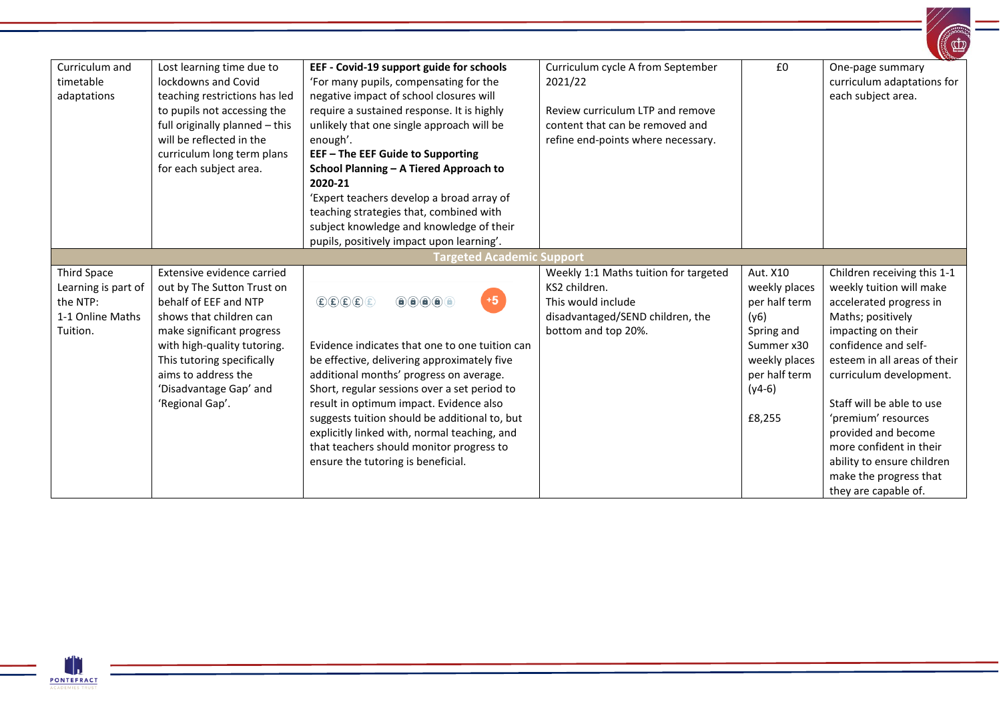|                                                                                |                                                                                                                                                                                                                                                                            |                                                                                                                                                                                                                                                                                                                                                                                                                                                                                                                                                                                                                                                                                                                                                                       |                                                                                                                                                           |                                                                                                                                        | <b>Alight Contract Contract Contract Contract Contract Contract Contract Contract Contract Contract Contract Contract Contract Contract Contract Contract Contract Contract Contract Contract Contract Contract Contract Contrac</b>                                                                                                                                                                   |
|--------------------------------------------------------------------------------|----------------------------------------------------------------------------------------------------------------------------------------------------------------------------------------------------------------------------------------------------------------------------|-----------------------------------------------------------------------------------------------------------------------------------------------------------------------------------------------------------------------------------------------------------------------------------------------------------------------------------------------------------------------------------------------------------------------------------------------------------------------------------------------------------------------------------------------------------------------------------------------------------------------------------------------------------------------------------------------------------------------------------------------------------------------|-----------------------------------------------------------------------------------------------------------------------------------------------------------|----------------------------------------------------------------------------------------------------------------------------------------|--------------------------------------------------------------------------------------------------------------------------------------------------------------------------------------------------------------------------------------------------------------------------------------------------------------------------------------------------------------------------------------------------------|
| Curriculum and<br>timetable<br>adaptations                                     | Lost learning time due to<br>lockdowns and Covid<br>teaching restrictions has led<br>to pupils not accessing the<br>full originally planned - this<br>will be reflected in the<br>curriculum long term plans<br>for each subject area.                                     | EEF - Covid-19 support guide for schools<br>'For many pupils, compensating for the<br>negative impact of school closures will<br>require a sustained response. It is highly<br>unlikely that one single approach will be<br>enough'.<br><b>EEF-The EEF Guide to Supporting</b><br>School Planning - A Tiered Approach to<br>2020-21<br>'Expert teachers develop a broad array of<br>teaching strategies that, combined with<br>subject knowledge and knowledge of their<br>pupils, positively impact upon learning'.                                                                                                                                                                                                                                                  | Curriculum cycle A from September<br>2021/22<br>Review curriculum LTP and remove<br>content that can be removed and<br>refine end-points where necessary. | £0                                                                                                                                     | One-page summary<br>curriculum adaptations for<br>each subject area.                                                                                                                                                                                                                                                                                                                                   |
|                                                                                |                                                                                                                                                                                                                                                                            | <b>Targeted Academic Support</b>                                                                                                                                                                                                                                                                                                                                                                                                                                                                                                                                                                                                                                                                                                                                      |                                                                                                                                                           |                                                                                                                                        |                                                                                                                                                                                                                                                                                                                                                                                                        |
| Third Space<br>Learning is part of<br>the NTP:<br>1-1 Online Maths<br>Tuition. | Extensive evidence carried<br>out by The Sutton Trust on<br>behalf of EEF and NTP<br>shows that children can<br>make significant progress<br>with high-quality tutoring.<br>This tutoring specifically<br>aims to address the<br>'Disadvantage Gap' and<br>'Regional Gap'. | $+5$<br>$\textcircled{\texttt{f}}\textcircled{\texttt{f}}\textcircled{\texttt{f}}\textcircled{\texttt{f}}$<br>$\left( \begin{matrix} 1 \\ 0 \\ 0 \end{matrix} \right) \left( \begin{matrix} 0 \\ 0 \\ 0 \end{matrix} \right) \left( \begin{matrix} 0 \\ 0 \\ 0 \end{matrix} \right) \left( \begin{matrix} 0 \\ 0 \\ 0 \end{matrix} \right)$<br>Evidence indicates that one to one tuition can<br>be effective, delivering approximately five<br>additional months' progress on average.<br>Short, regular sessions over a set period to<br>result in optimum impact. Evidence also<br>suggests tuition should be additional to, but<br>explicitly linked with, normal teaching, and<br>that teachers should monitor progress to<br>ensure the tutoring is beneficial. | Weekly 1:1 Maths tuition for targeted<br>KS2 children.<br>This would include<br>disadvantaged/SEND children, the<br>bottom and top 20%.                   | Aut. X10<br>weekly places<br>per half term<br>(y6)<br>Spring and<br>Summer x30<br>weekly places<br>per half term<br>$(y4-6)$<br>£8,255 | Children receiving this 1-1<br>weekly tuition will make<br>accelerated progress in<br>Maths; positively<br>impacting on their<br>confidence and self-<br>esteem in all areas of their<br>curriculum development.<br>Staff will be able to use<br>'premium' resources<br>provided and become<br>more confident in their<br>ability to ensure children<br>make the progress that<br>they are capable of. |

 $\mathbb{Z}$ 

 $\mathbb{Z}^{(n)}$ 

 $\equiv$ 

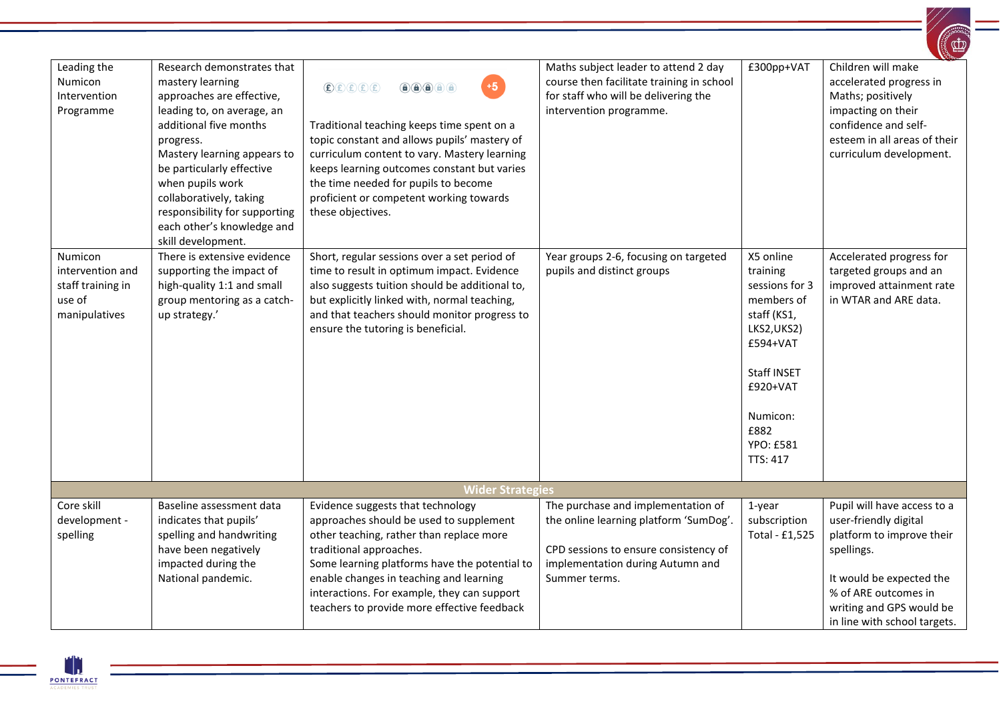|                                                                             |                                                                                                                                                                                                                                                                                                                                                  |                                                                                                                                                                                                                                                                                                                                                                                                                                                                                                                                                                                                                                                                                                                                                                                                                                                                                                                              |                                                                                                                                                                            |                                                                                                                                                                                       | $\begin{pmatrix} \mathbf{r} \ \mathbf{r} \end{pmatrix}$                                                                                                                                                         |
|-----------------------------------------------------------------------------|--------------------------------------------------------------------------------------------------------------------------------------------------------------------------------------------------------------------------------------------------------------------------------------------------------------------------------------------------|------------------------------------------------------------------------------------------------------------------------------------------------------------------------------------------------------------------------------------------------------------------------------------------------------------------------------------------------------------------------------------------------------------------------------------------------------------------------------------------------------------------------------------------------------------------------------------------------------------------------------------------------------------------------------------------------------------------------------------------------------------------------------------------------------------------------------------------------------------------------------------------------------------------------------|----------------------------------------------------------------------------------------------------------------------------------------------------------------------------|---------------------------------------------------------------------------------------------------------------------------------------------------------------------------------------|-----------------------------------------------------------------------------------------------------------------------------------------------------------------------------------------------------------------|
| Leading the<br>Numicon<br>Intervention<br>Programme                         | Research demonstrates that<br>mastery learning<br>approaches are effective,<br>leading to, on average, an<br>additional five months<br>progress.<br>Mastery learning appears to<br>be particularly effective<br>when pupils work<br>collaboratively, taking<br>responsibility for supporting<br>each other's knowledge and<br>skill development. | $+5$<br>$\textbf{\textcircled{\texttt{E}}}(\textbf{\texttt{E}}) \textbf{\textcircled{\texttt{E}}}(\textbf{\texttt{E}}) \textbf{\textcircled{\texttt{E}}}$<br>$\bigcirc \hspace{-7.75pt} \bigcirc \hspace{-7.75pt} \bigcirc \hspace{-7.75pt} \bigcirc \hspace{-7.75pt} \bigcirc \hspace{-7.75pt} \bigcirc \hspace{-7.75pt} \bigcirc \hspace{-7.75pt} \bigcirc \hspace{-7.75pt} \bigcirc \hspace{-7.75pt} \bigcirc \hspace{-7.75pt} \bigcirc \hspace{-7.75pt} \bigcirc \hspace{-7.75pt} \bigcirc \hspace{-7.75pt} \bigcirc \hspace{-7.75pt} \bigcirc \hspace{-7.75pt} \bigcirc \hspace{-7.75pt} \bigcirc \hspace{-7.75pt$<br>Traditional teaching keeps time spent on a<br>topic constant and allows pupils' mastery of<br>curriculum content to vary. Mastery learning<br>keeps learning outcomes constant but varies<br>the time needed for pupils to become<br>proficient or competent working towards<br>these objectives. | Maths subject leader to attend 2 day<br>course then facilitate training in school<br>for staff who will be delivering the<br>intervention programme.                       | £300pp+VAT                                                                                                                                                                            | Children will make<br>accelerated progress in<br>Maths; positively<br>impacting on their<br>confidence and self-<br>esteem in all areas of their<br>curriculum development.                                     |
| Numicon<br>intervention and<br>staff training in<br>use of<br>manipulatives | There is extensive evidence<br>supporting the impact of<br>high-quality 1:1 and small<br>group mentoring as a catch-<br>up strategy.'                                                                                                                                                                                                            | Short, regular sessions over a set period of<br>time to result in optimum impact. Evidence<br>also suggests tuition should be additional to,<br>but explicitly linked with, normal teaching,<br>and that teachers should monitor progress to<br>ensure the tutoring is beneficial.                                                                                                                                                                                                                                                                                                                                                                                                                                                                                                                                                                                                                                           | Year groups 2-6, focusing on targeted<br>pupils and distinct groups                                                                                                        | X5 online<br>training<br>sessions for 3<br>members of<br>staff (KS1,<br>LKS2, UKS2)<br>£594+VAT<br>Staff INSET<br>£920+VAT<br>Numicon:<br>£882<br><b>YPO: £581</b><br><b>TTS: 417</b> | Accelerated progress for<br>targeted groups and an<br>improved attainment rate<br>in WTAR and ARE data.                                                                                                         |
|                                                                             |                                                                                                                                                                                                                                                                                                                                                  | <b>Wider Strategies</b>                                                                                                                                                                                                                                                                                                                                                                                                                                                                                                                                                                                                                                                                                                                                                                                                                                                                                                      |                                                                                                                                                                            |                                                                                                                                                                                       |                                                                                                                                                                                                                 |
| Core skill<br>development -<br>spelling                                     | Baseline assessment data<br>indicates that pupils'<br>spelling and handwriting<br>have been negatively<br>impacted during the<br>National pandemic.                                                                                                                                                                                              | Evidence suggests that technology<br>approaches should be used to supplement<br>other teaching, rather than replace more<br>traditional approaches.<br>Some learning platforms have the potential to<br>enable changes in teaching and learning<br>interactions. For example, they can support<br>teachers to provide more effective feedback                                                                                                                                                                                                                                                                                                                                                                                                                                                                                                                                                                                | The purchase and implementation of<br>the online learning platform 'SumDog'.<br>CPD sessions to ensure consistency of<br>implementation during Autumn and<br>Summer terms. | 1-year<br>subscription<br>Total - £1,525                                                                                                                                              | Pupil will have access to a<br>user-friendly digital<br>platform to improve their<br>spellings.<br>It would be expected the<br>% of ARE outcomes in<br>writing and GPS would be<br>in line with school targets. |

PONTEFRACT

 $=$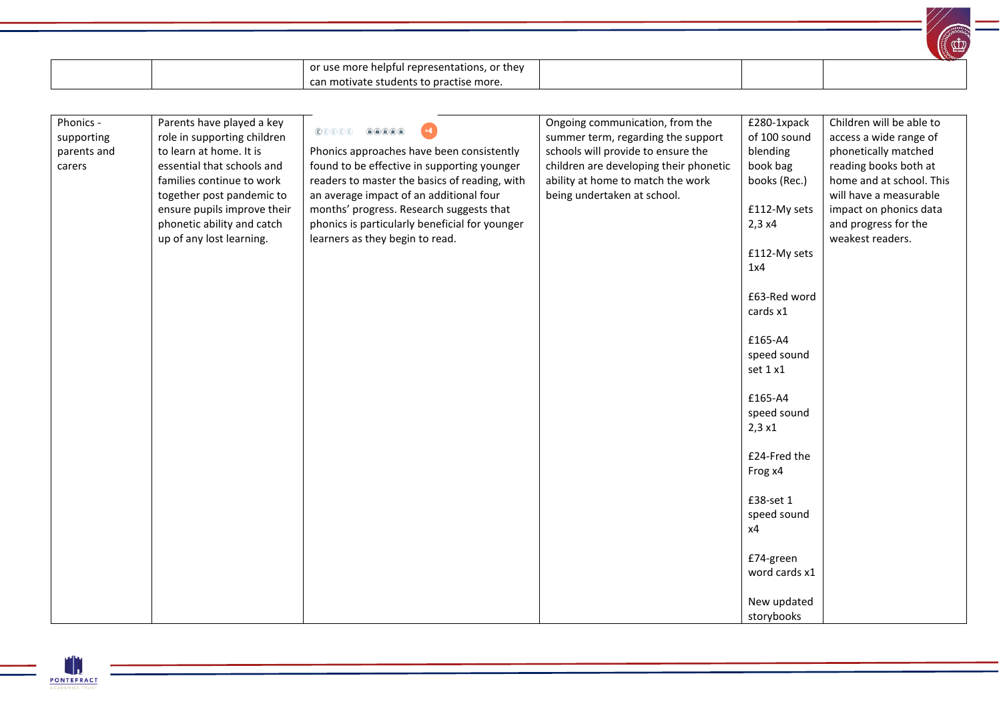|                                                  |                                                                                                                                                                                                                                                                      |                                                                                                                                                                                                                                                                                                                                                                                                                                                                                                                                                                                                                                                                                                                                                                                                                                                                                                                         |                                                                                                                                                                                                                           |                                                                                                                                                                                                                                                                                                                                                  | $\bigoplus$                                                                                                                                                                                                                     |
|--------------------------------------------------|----------------------------------------------------------------------------------------------------------------------------------------------------------------------------------------------------------------------------------------------------------------------|-------------------------------------------------------------------------------------------------------------------------------------------------------------------------------------------------------------------------------------------------------------------------------------------------------------------------------------------------------------------------------------------------------------------------------------------------------------------------------------------------------------------------------------------------------------------------------------------------------------------------------------------------------------------------------------------------------------------------------------------------------------------------------------------------------------------------------------------------------------------------------------------------------------------------|---------------------------------------------------------------------------------------------------------------------------------------------------------------------------------------------------------------------------|--------------------------------------------------------------------------------------------------------------------------------------------------------------------------------------------------------------------------------------------------------------------------------------------------------------------------------------------------|---------------------------------------------------------------------------------------------------------------------------------------------------------------------------------------------------------------------------------|
|                                                  |                                                                                                                                                                                                                                                                      | or use more helpful representations, or they                                                                                                                                                                                                                                                                                                                                                                                                                                                                                                                                                                                                                                                                                                                                                                                                                                                                            |                                                                                                                                                                                                                           |                                                                                                                                                                                                                                                                                                                                                  |                                                                                                                                                                                                                                 |
|                                                  |                                                                                                                                                                                                                                                                      | can motivate students to practise more.                                                                                                                                                                                                                                                                                                                                                                                                                                                                                                                                                                                                                                                                                                                                                                                                                                                                                 |                                                                                                                                                                                                                           |                                                                                                                                                                                                                                                                                                                                                  |                                                                                                                                                                                                                                 |
|                                                  |                                                                                                                                                                                                                                                                      |                                                                                                                                                                                                                                                                                                                                                                                                                                                                                                                                                                                                                                                                                                                                                                                                                                                                                                                         |                                                                                                                                                                                                                           |                                                                                                                                                                                                                                                                                                                                                  |                                                                                                                                                                                                                                 |
| Phonics -<br>supporting<br>parents and<br>carers | Parents have played a key<br>role in supporting children<br>to learn at home. It is<br>essential that schools and<br>families continue to work<br>together post pandemic to<br>ensure pupils improve their<br>phonetic ability and catch<br>up of any lost learning. | $\textcircled{\small{f}}\textcircled{\small{f}}\textcircled{\small{f}}\textcircled{\small{f}}\textcircled{\small{f}}\textcircled{\small{f}}\textcircled{\small{f}}\textcircled{\small{f}}\textcircled{\small{f}}\textcircled{\small{f}}\textcircled{\small{f}}\textcircled{\small{f}}\textcircled{\small{f}}\textcircled{\small{f}}\textcircled{\small{f}}\textcircled{\small{f}}\textcircled{\small{f}}\textcircled{\small{f}}\textcircled{\small{f}}\textcircled{\small{f}}\textcircled{\small{f}}\textcircled{\small{f}}\textcircled{\small{f}}\textcircled{\small{f}}\textcircled$<br>$+4$<br>Phonics approaches have been consistently<br>found to be effective in supporting younger<br>readers to master the basics of reading, with<br>an average impact of an additional four<br>months' progress. Research suggests that<br>phonics is particularly beneficial for younger<br>learners as they begin to read. | Ongoing communication, from the<br>summer term, regarding the support<br>schools will provide to ensure the<br>children are developing their phonetic<br>ability at home to match the work<br>being undertaken at school. | £280-1xpack<br>of 100 sound<br>blending<br>book bag<br>books (Rec.)<br>£112-My sets<br>2,3x4<br>£112-My sets<br>1x4<br>£63-Red word<br>cards x1<br>£165-A4<br>speed sound<br>set 1 x1<br>£165-A4<br>speed sound<br>2,3x1<br>£24-Fred the<br>Frog x4<br>£38-set 1<br>speed sound<br>x4<br>£74-green<br>word cards x1<br>New updated<br>storybooks | Children will be able to<br>access a wide range of<br>phonetically matched<br>reading books both at<br>home and at school. This<br>will have a measurable<br>impact on phonics data<br>and progress for the<br>weakest readers. |

 $\left/ \right/$ 

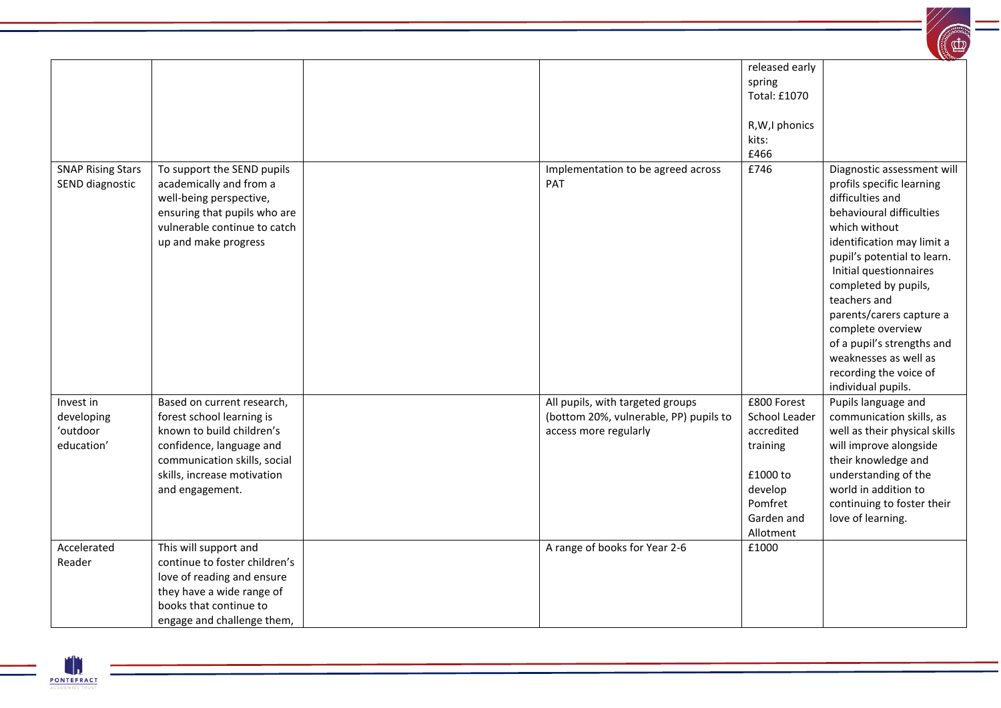

|                                                   |                                                                                                                                                                                                    |                                                                                                     | released early<br>spring<br><b>Total: £1070</b><br>R, W, I phonics<br>kits:<br>£466                                 |                                                                                                                                                                                                                                                                                                                                                                                                                 |
|---------------------------------------------------|----------------------------------------------------------------------------------------------------------------------------------------------------------------------------------------------------|-----------------------------------------------------------------------------------------------------|---------------------------------------------------------------------------------------------------------------------|-----------------------------------------------------------------------------------------------------------------------------------------------------------------------------------------------------------------------------------------------------------------------------------------------------------------------------------------------------------------------------------------------------------------|
| <b>SNAP Rising Stars</b><br>SEND diagnostic       | To support the SEND pupils<br>academically and from a<br>well-being perspective,<br>ensuring that pupils who are<br>vulnerable continue to catch<br>up and make progress                           | Implementation to be agreed across<br><b>PAT</b>                                                    | £746                                                                                                                | Diagnostic assessment will<br>profils specific learning<br>difficulties and<br>behavioural difficulties<br>which without<br>identification may limit a<br>pupil's potential to learn.<br>Initial questionnaires<br>completed by pupils,<br>teachers and<br>parents/carers capture a<br>complete overview<br>of a pupil's strengths and<br>weaknesses as well as<br>recording the voice of<br>individual pupils. |
| Invest in<br>developing<br>'outdoor<br>education' | Based on current research,<br>forest school learning is<br>known to build children's<br>confidence, language and<br>communication skills, social<br>skills, increase motivation<br>and engagement. | All pupils, with targeted groups<br>(bottom 20%, vulnerable, PP) pupils to<br>access more regularly | £800 Forest<br>School Leader<br>accredited<br>training<br>£1000 to<br>develop<br>Pomfret<br>Garden and<br>Allotment | Pupils language and<br>communication skills, as<br>well as their physical skills<br>will improve alongside<br>their knowledge and<br>understanding of the<br>world in addition to<br>continuing to foster their<br>love of learning.                                                                                                                                                                            |
| Accelerated<br>Reader                             | This will support and<br>continue to foster children's<br>love of reading and ensure<br>they have a wide range of<br>books that continue to<br>engage and challenge them,                          | A range of books for Year 2-6                                                                       | £1000                                                                                                               |                                                                                                                                                                                                                                                                                                                                                                                                                 |